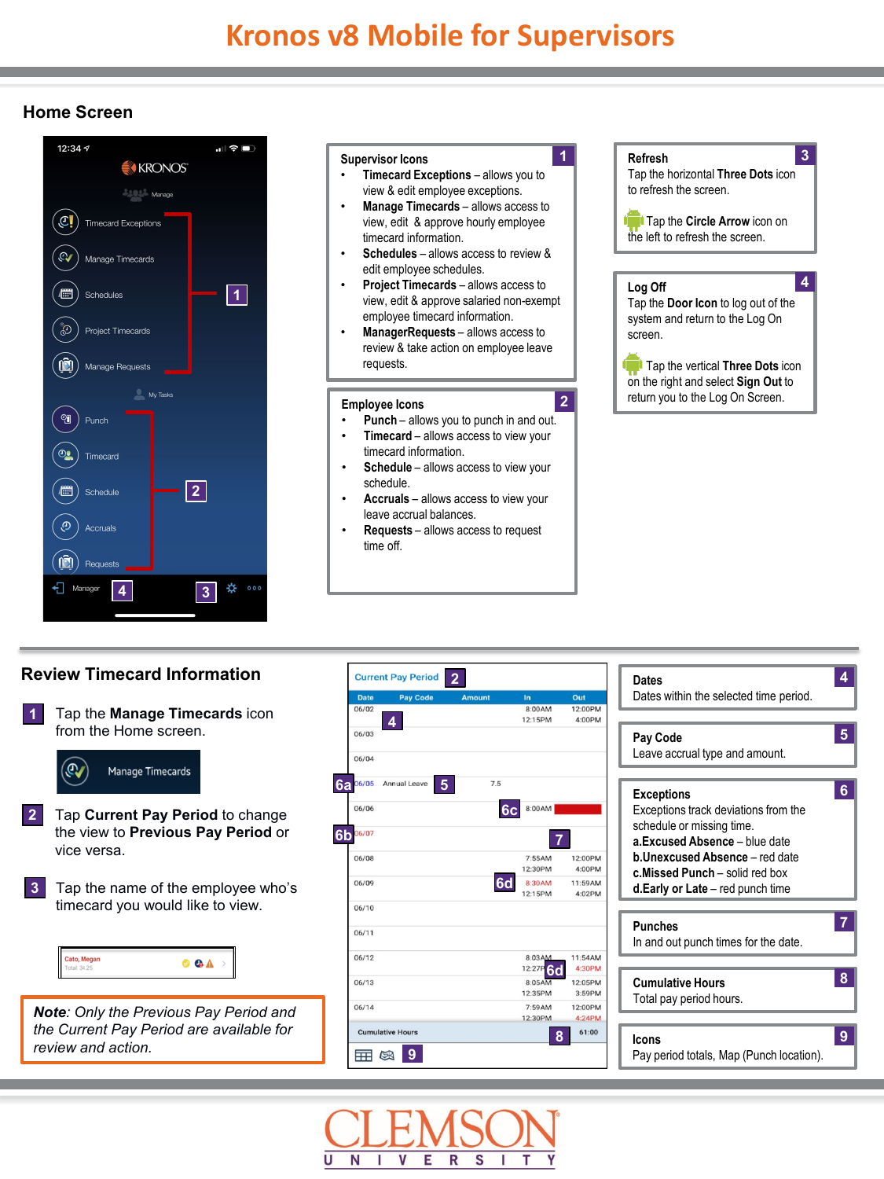# **Home Screen**



#### **Supervisor Icons**

• **Timecard Exceptions** – allows you to view & edit employee exceptions.

**1**

**2**

- **Manage Timecards** allows access to view, edit & approve hourly employee timecard information.
- **Schedules** allows access to review & edit employee schedules.
- **Project Timecards** allows access to view, edit & approve salaried non-exempt employee timecard information.
- **ManagerRequests** allows access to review & take action on employee leave requests.

#### **Employee Icons**

- **Punch** allows you to punch in and out.
- **Timecard** allows access to view your timecard information.
- Schedule allows access to view your schedule.
- **Accruals** allows access to view your leave accrual balances.
- **Requests** allows access to request time off.



# **Review Timecard Information 2**





| Dates<br>Dates within the selected time period.                                                                                                                                                                                                    |
|----------------------------------------------------------------------------------------------------------------------------------------------------------------------------------------------------------------------------------------------------|
|                                                                                                                                                                                                                                                    |
| 5<br>Pay Code<br>Leave accrual type and amount.                                                                                                                                                                                                    |
|                                                                                                                                                                                                                                                    |
| 6<br><b>Exceptions</b><br>Exceptions track deviations from the<br>schedule or missing time.<br>a Excused Absence - blue date<br><b>b.Unexcused Absence</b> - red date<br>c.Missed Punch - solid red box<br><b>d.Early or Late</b> – red punch time |
|                                                                                                                                                                                                                                                    |
| <b>Punches</b><br>In and out punch times for the date.                                                                                                                                                                                             |
|                                                                                                                                                                                                                                                    |
| 8<br><b>Cumulative Hours</b><br>Total pay period hours.                                                                                                                                                                                            |
|                                                                                                                                                                                                                                                    |
| 9<br>Icons<br>Pay period totals, Map (Punch location).                                                                                                                                                                                             |
|                                                                                                                                                                                                                                                    |

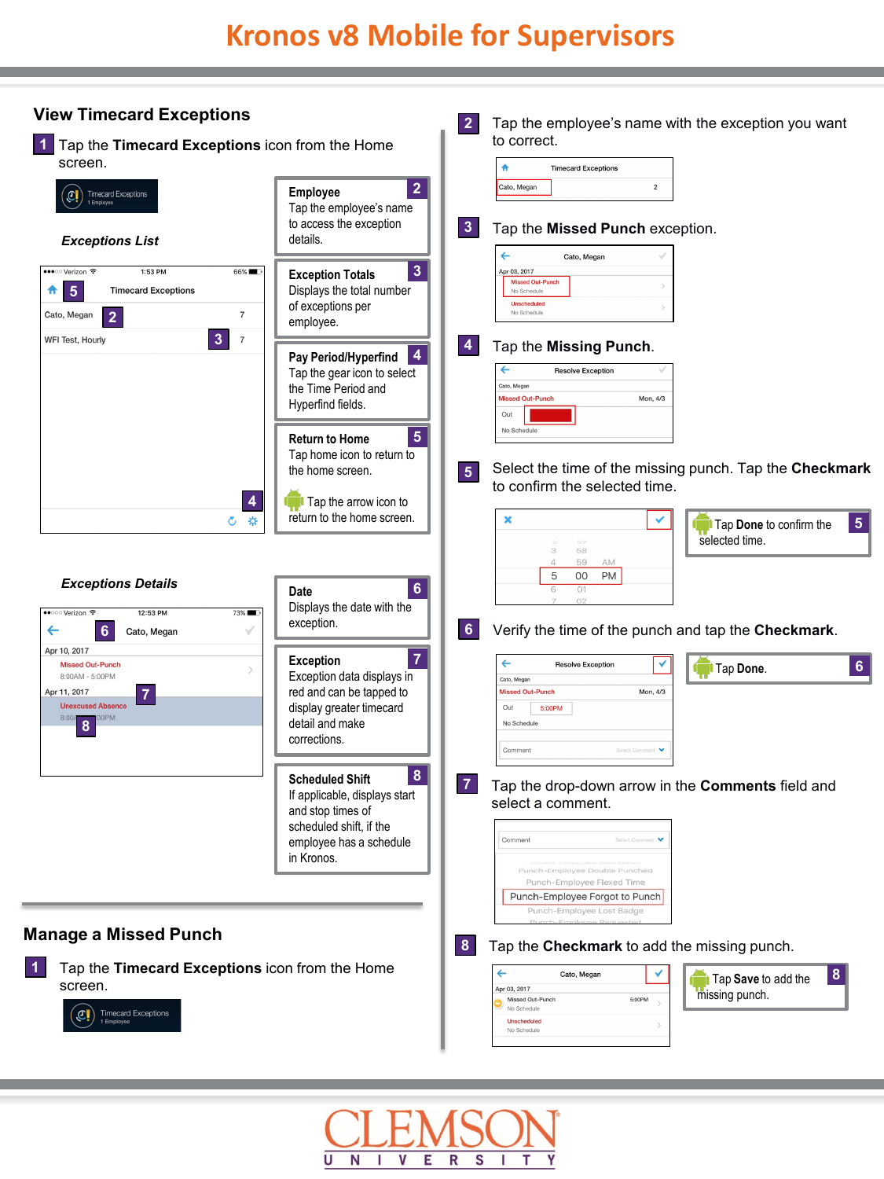

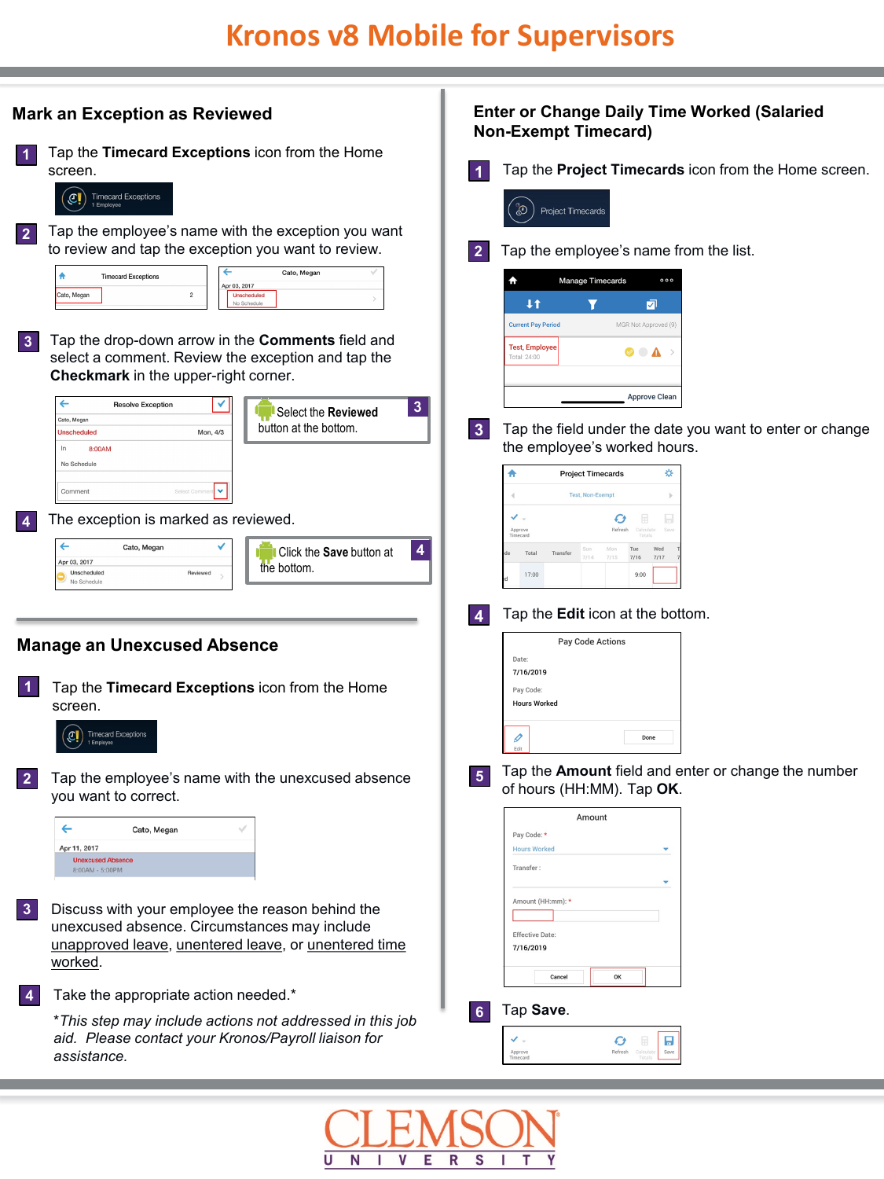| <b>Mark an Exception as Reviewed</b>                                                                                                                                                                                                                                                        | <b>Enter or Change Daily Time Worked (Salaried</b><br><b>Non-Exempt Timecard)</b>                                                                                                                  |
|---------------------------------------------------------------------------------------------------------------------------------------------------------------------------------------------------------------------------------------------------------------------------------------------|----------------------------------------------------------------------------------------------------------------------------------------------------------------------------------------------------|
| Tap the Timecard Exceptions icon from the Home<br>1<br>screen.<br><b>Timecard Exceptions</b><br>Cļ<br>1 Employee<br>Tap the employee's name with the exception you want<br>$\overline{2}$                                                                                                   | Tap the Project Timecards icon from the Home screen.<br>1<br>இ<br>Project Timecards                                                                                                                |
| to review and tap the exception you want to review.<br>←<br>Cato, Megan<br><b>Timecard Exceptions</b><br>Apr 03, 2017<br>Cato, Megan<br>$\overline{c}$<br><b>Unscheduled</b><br>No Schedul<br>Tap the drop-down arrow in the Comments field and<br>3                                        | Tap the employee's name from the list.<br>$\mathbf{2}$<br>♠<br>Manage Timecards<br>000<br>4t<br>⊡<br><b>Current Pay Period</b><br>MGR Not Approved (9)                                             |
| select a comment. Review the exception and tap the<br>Checkmark in the upper-right corner.<br>$\leftarrow$<br>✔<br><b>Resolve Exception</b><br>$\mathbf{3}$<br>Select the Reviewed<br>Cato, Megar<br>button at the bottom.<br>Mon, 4/3<br><b>Unscheduled</b><br>In<br>8:00AM<br>No Schedule | <b>Test, Employee</b><br>$\circ$ $\bullet$ )<br>Total: 24:00<br><b>Approve Clean</b><br>3 <sup>1</sup><br>Tap the field under the date you want to enter or change<br>the employee's worked hours. |
| ×<br>Comment<br>Select C<br>The exception is marked as reviewed.                                                                                                                                                                                                                            | ♠<br>☆<br><b>Project Timecards</b><br><b>Test. Non-Exempt</b><br>$\blacktriangleleft$<br>マー<br>H<br>Ø<br>Approve<br>Timecard                                                                       |
| $\leftarrow$<br>Cato, Megan<br>$\overline{4}$<br>Click the Save button at<br>Apr 03, 2017<br>the bottom.<br>Unscheduled<br>Reviewed<br>No Schedule<br><b>Manage an Unexcused Absence</b>                                                                                                    | Tue<br>Wed<br>Total<br>Transfer<br>7/15<br>7/16<br>7/17<br>17:00<br>9:00<br>Tap the <b>Edit</b> icon at the bottom.<br>4<br>Pay Code Actions<br>Date:                                              |
| 1<br>Tap the Timecard Exceptions icon from the Home<br>screen.<br><b>Timecard Exceptions</b><br>1 Employee                                                                                                                                                                                  | 7/16/2019<br>Pay Code:<br><b>Hours Worked</b><br>I<br>Done                                                                                                                                         |
| Tap the employee's name with the unexcused absence<br>$\overline{2}$<br>you want to correct.<br>Cato, Megan<br>Apr 11, 2017<br><b>Unexcused Absence</b><br>8:00AM - 5:00PM                                                                                                                  | Tap the Amount field and enter or change the number<br>$5\phantom{.0}$<br>of hours (HH:MM). Tap OK.<br>Amount<br>Pay Code:<br><b>Hours Worked</b><br>Transfer:                                     |
| Discuss with your employee the reason behind the<br>$\mathbf{3}$<br>unexcused absence. Circumstances may include<br>unapproved leave, unentered leave, or unentered time<br>worked.                                                                                                         | Amount (HH:mm): *<br><b>Effective Date:</b><br>7/16/2019<br>Cancel<br>OK                                                                                                                           |
| Take the appropriate action needed.*<br><b>4</b><br>*This step may include actions not addressed in this job<br>aid. Please contact your Kronos/Payroll liaison for<br>assistance.                                                                                                          | Tap Save.<br>$6\phantom{a}$<br>マー<br>н<br>Ø<br>E<br>Refresh<br>Approve<br>Timecard<br>Calculat<br>Save                                                                                             |
|                                                                                                                                                                                                                                                                                             | <b>THEMEONI</b>                                                                                                                                                                                    |

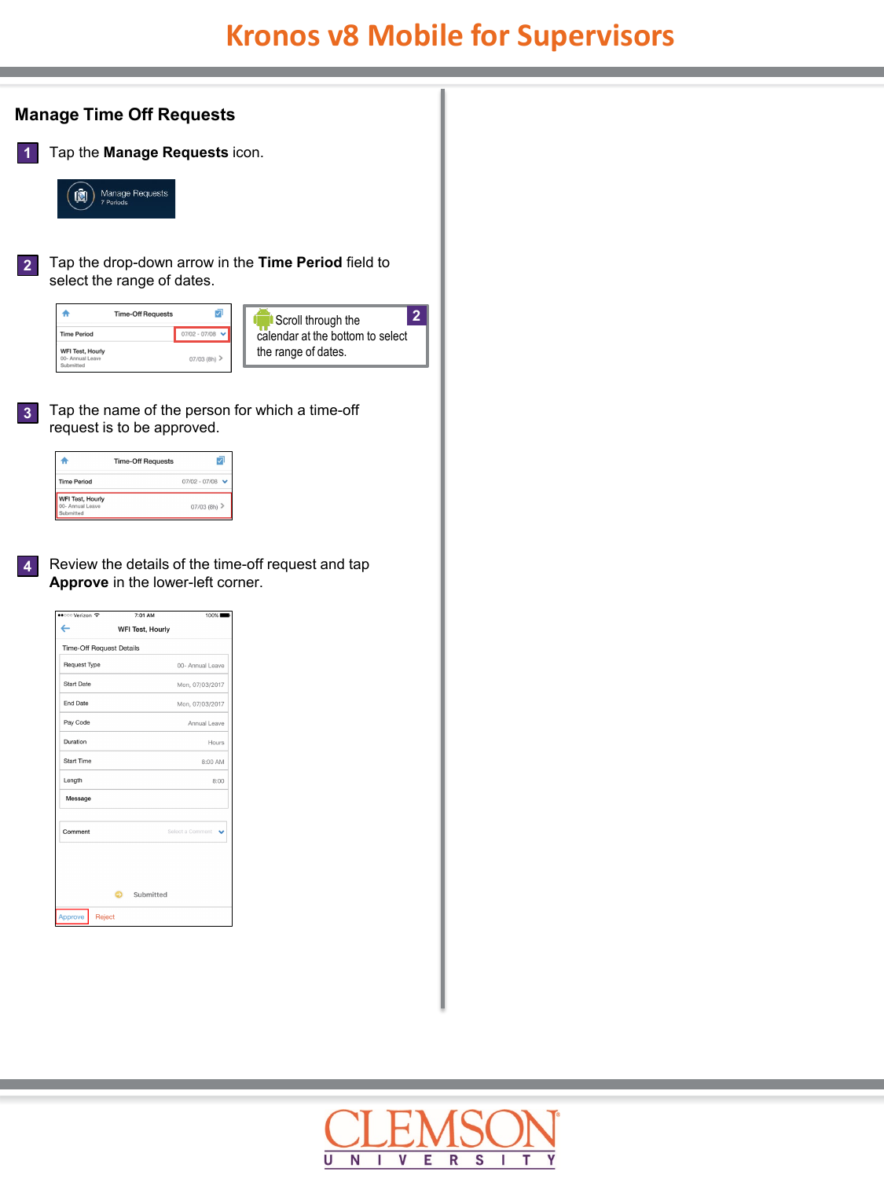# **Kronos v8 Mobile for Supervisors**

**2**